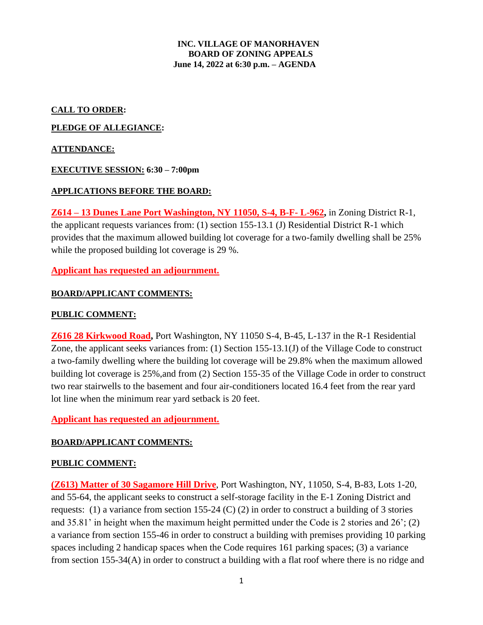#### **INC. VILLAGE OF MANORHAVEN BOARD OF ZONING APPEALS June 14, 2022 at 6:30 p.m. – AGENDA**

### **CALL TO ORDER:**

### **PLEDGE OF ALLEGIANCE:**

### **ATTENDANCE:**

#### **EXECUTIVE SESSION: 6:30 – 7:00pm**

## **APPLICATIONS BEFORE THE BOARD:**

**Z614 – 13 Dunes Lane Port Washington, NY 11050, S-4, B-F- L-962,** in Zoning District R-1, the applicant requests variances from: (1) section 155-13.1 (J) Residential District R-1 which provides that the maximum allowed building lot coverage for a two-family dwelling shall be 25% while the proposed building lot coverage is 29 %.

# **Applicant has requested an adjournment.**

## **BOARD/APPLICANT COMMENTS:**

# **PUBLIC COMMENT:**

**Z616 28 Kirkwood Road,** Port Washington, NY 11050 S-4, B-45, L-137 in the R-1 Residential Zone, the applicant seeks variances from: (1) Section 155-13.1(J) of the Village Code to construct a two-family dwelling where the building lot coverage will be 29.8% when the maximum allowed building lot coverage is 25%,and from (2) Section 155-35 of the Village Code in order to construct two rear stairwells to the basement and four air-conditioners located 16.4 feet from the rear yard lot line when the minimum rear yard setback is 20 feet.

#### **Applicant has requested an adjournment.**

#### **BOARD/APPLICANT COMMENTS:**

#### **PUBLIC COMMENT:**

**(Z613) Matter of 30 Sagamore Hill Drive**, Port Washington, NY, 11050, S-4, B-83, Lots 1-20, and 55-64, the applicant seeks to construct a self-storage facility in the E-1 Zoning District and requests: (1) a variance from section 155-24 (C) (2) in order to construct a building of 3 stories and 35.81' in height when the maximum height permitted under the Code is 2 stories and 26'; (2) a variance from section 155-46 in order to construct a building with premises providing 10 parking spaces including 2 handicap spaces when the Code requires 161 parking spaces; (3) a variance from section 155-34(A) in order to construct a building with a flat roof where there is no ridge and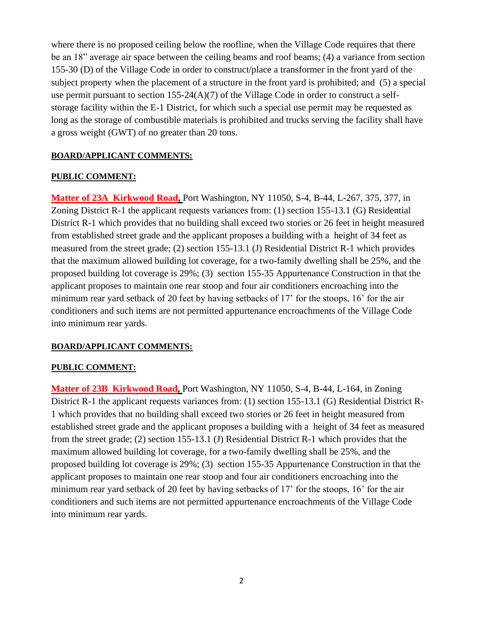where there is no proposed ceiling below the roofline, when the Village Code requires that there be an 18" average air space between the ceiling beams and roof beams; (4) a variance from section 155-30 (D) of the Village Code in order to construct/place a transformer in the front yard of the subject property when the placement of a structure in the front yard is prohibited; and (5) a special use permit pursuant to section  $155-24(A)(7)$  of the Village Code in order to construct a selfstorage facility within the E-1 District, for which such a special use permit may be requested as long as the storage of combustible materials is prohibited and trucks serving the facility shall have a gross weight (GWT) of no greater than 20 tons.

# **BOARD/APPLICANT COMMENTS:**

## **PUBLIC COMMENT:**

**Matter of 23A Kirkwood Road,** Port Washington, NY 11050, S-4, B-44, L-267, 375, 377, in Zoning District R-1 the applicant requests variances from: (1) section 155-13.1 (G) Residential District R-1 which provides that no building shall exceed two stories or 26 feet in height measured from established street grade and the applicant proposes a building with a height of 34 feet as measured from the street grade; (2) section 155-13.1 (J) Residential District R-1 which provides that the maximum allowed building lot coverage, for a two-family dwelling shall be 25%, and the proposed building lot coverage is 29%; (3) section 155-35 Appurtenance Construction in that the applicant proposes to maintain one rear stoop and four air conditioners encroaching into the minimum rear yard setback of 20 feet by having setbacks of 17' for the stoops, 16' for the air conditioners and such items are not permitted appurtenance encroachments of the Village Code into minimum rear yards.

#### **BOARD/APPLICANT COMMENTS:**

#### **PUBLIC COMMENT:**

**Matter of 23B Kirkwood Road,** Port Washington, NY 11050, S-4, B-44, L-164, in Zoning District R-1 the applicant requests variances from: (1) section 155-13.1 (G) Residential District R-1 which provides that no building shall exceed two stories or 26 feet in height measured from established street grade and the applicant proposes a building with a height of 34 feet as measured from the street grade; (2) section 155-13.1 (J) Residential District R-1 which provides that the maximum allowed building lot coverage, for a two-family dwelling shall be 25%, and the proposed building lot coverage is 29%; (3) section 155-35 Appurtenance Construction in that the applicant proposes to maintain one rear stoop and four air conditioners encroaching into the minimum rear yard setback of 20 feet by having setbacks of 17' for the stoops, 16' for the air conditioners and such items are not permitted appurtenance encroachments of the Village Code into minimum rear yards.